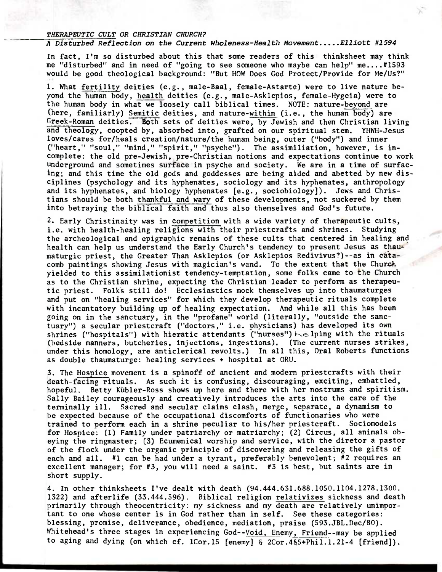## **THERAPEUTIC CULT OR CHRISTIAN CHURCH?**

## A Disturbed Reflection on the Current Wholeness-Health Movement.....Elliott #1594

**In fact, I'm so disturbed about this that some readers of this thinksheet may think me "disturbed" and in need of "going to see someone who maybe can help" me....#1593 would be good theological background: "But HOW Does God Protect/Provide for Me/Us?"** 

**1. What fertility deities (e.g., male-Baal, female-Astarte) were to live nature beyond the human body, health deities (e.g., male-Asklepios, female-Hygeia) were to the human body in what we loosely call biblical times. NOTE: nature-beyond are (here, familiarly) Semitic deities, and nature-within (i.e., the human body) are Greek-Roman deities. Both sets of deities were, by Jewish and then Christian living and theology, coopted by, absorbed into, grafted on our spiritual stem. YHWH-Jesus loves/cares for/heals creation/nature/the human being, outer ("body") and inner ("heart," "soul," "mind," "spirit," "psyche"). The assimiliation, however, is incomplete: the old pre-Jewish, pre-Christian notions and expectations continue to work underground and sometimes surface in psyche and society. We are in a time of surfacing; and this time the old gods and goddesses are being aided and abetted by new disciplines (psychology and its hyphenates, sociology and its hyphenates, anthropology and its hyphenates, and biology hyphenates [e.g., sociobiology]). Jews and Christians should be both thankful and wary of these developments, not suckered by them into betraying the biblical faith and thus also themselves and God's future.** 

**2. Early Christinaity was in competition with a wide variety of therapeutic cults, i.e. with health-healing religions with their priestcrafts and shrines. Studying the archeological and epigraphic remains of these cults that centered in healing and**  health can help us understand the Early Church's tendency to present Jesus as thaumaturgic priest, the Greater Than Asklepios (or Asklepios Redivivus?)--as in cata**comb paintings showing Jesus with magician's wand. To the extent that the Church yielded to this assimilationist tendency-temptation, some folks came to the Church as to the Christian shrine, expecting the Christian leader to perform as therapeutic priest. Folks still do! Ecclesiastics mock themselves up into thaumaturges and put on "healing services" for which they develop therapeutic rituals complete with incantatory building up of healing expectation. And while all this has been going on in the sanctuary, in the "profane" world (literally, "outside the sanctuary") a secular priestcraft ("doctors," i.e. physicians) has developed its own**  shrines ("hospitals") with hieratic attendants ("nurses")  $\sim$  lping with the rituals **(bedside manners, butcheries, injections, ingestions). (The current nurses strikes, under this homology, are anticlerical revolts.) In all this, Oral Roberts functions as double thaumaturge: healing services 4. hospital at ORU.** 

**3. The Hospice movement is a spinoff of ancient and modern priestcrafts with their death-facing rituals. As such it is confusing, discouraging, exciting, embattled,**  hopeful. Betty Kübler-Ross shows up here and there with her nostrums and spiritism. **Sally Bailey courageously and creatively introduces the arts into the care of the terminally ill. Sacred and secular claims clash, merge, separate, a dynamism to be expected because of the occupational discomforts of functionaries who were trained to perform each in a shrine peculiar to his/her priestcraft. Sociomodels for Hospice: (1) Family under patriarchy or matriarchy; (2) Circus, all animals obeying the ringmaster; (3) Ecumenical worship and service, with the diretor a pastor of the flock under the organic principle of discovering and releasing the gifts of each and all. #1 can be had under a tyrant, preferably benevolent; #2 requires an excellent manager; for #3, you will need a saint. #3 is best, but saints are in short supply.** 

**4. In other thinksheets I've dealt with death (94.444.631.688.1050.1104.1278.1300. 1322) and afterlife (33.444.596). Biblical religion relativizes sickness and death primarily through theocentricity: my sickness and my death are relatively unimportant to one whose center is in God rather than in self. See these categories: blessing, promise, deliverance, obedience, mediation, praise (593.JBL.Dec/80). Whitehead's three stages in experiencing God--Void, Enemy, Friend--may be applied to aging and dying (on which cf. 1Cor.15 [enemy] & 2Cor.4&5+Phil.1.21-4 [friend]).**